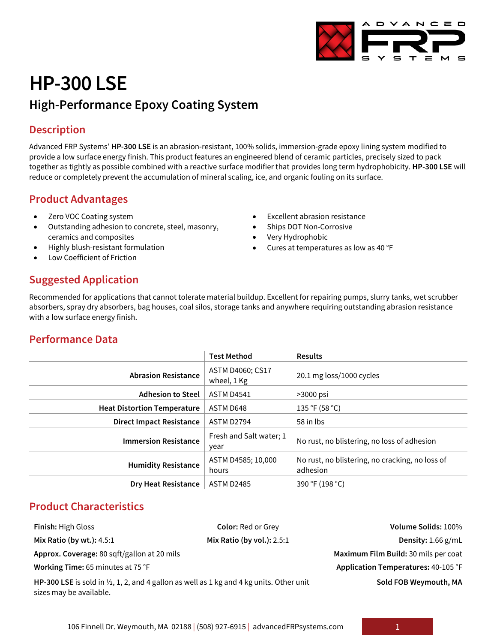

# **HP-300 LSE High-Performance Epoxy Coating System**

### **Description**

Advanced FRP Systems' **HP-300 LSE** is an abrasion-resistant, 100% solids, immersion-grade epoxy lining system modified to provide a low surface energy finish. This product features an engineered blend of ceramic particles, precisely sized to pack together as tightly as possible combined with a reactive surface modifier that provides long term hydrophobicity. **HP-300 LSE** will reduce or completely prevent the accumulation of mineral scaling, ice, and organic fouling on its surface.

> **Excellent abrasion resistance** Ships DOT Non-Corrosive • Very Hydrophobic

• Cures at temperatures as low as 40 °F

### **Product Advantages**

- Zero VOC Coating system
- Outstanding adhesion to concrete, steel, masonry, ceramics and composites
- Highly blush-resistant formulation
- Low Coefficient of Friction

## **Suggested Application**

Recommended for applications that cannot tolerate material buildup. Excellent for repairing pumps, slurry tanks, wet scrubber absorbers, spray dry absorbers, bag houses, coal silos, storage tanks and anywhere requiring outstanding abrasion resistance with a low surface energy finish.

### **Performance Data**

|                                    | <b>Test Method</b>              | <b>Results</b>                                              |
|------------------------------------|---------------------------------|-------------------------------------------------------------|
| <b>Abrasion Resistance</b>         | ASTM D4060; CS17<br>wheel, 1 Kg | 20.1 mg loss/1000 cycles                                    |
| <b>Adhesion to Steel</b>           | <b>ASTM D4541</b>               | $>3000$ psi                                                 |
| <b>Heat Distortion Temperature</b> | ASTM D648                       | 135 °F (58 °C)                                              |
| <b>Direct Impact Resistance</b>    | <b>ASTM D2794</b>               | 58 in lbs                                                   |
| <b>Immersion Resistance</b>        | Fresh and Salt water; 1<br>year | No rust, no blistering, no loss of adhesion                 |
| <b>Humidity Resistance</b>         | ASTM D4585; 10,000<br>hours     | No rust, no blistering, no cracking, no loss of<br>adhesion |
| <b>Dry Heat Resistance</b>         | <b>ASTM D2485</b>               | 390 °F (198 °C)                                             |

### **Product Characteristics**

**Finish:** High Gloss **Color:** Red or Grey **Volume Solids:** 100% **Mix Ratio (by wt.):** 4.5:1 **Mix Ratio (by vol.):** 2.5:1 **Density:** 1.66 g/mL **Approx. Coverage:** 80 sqft/gallon at 20 mils **Maximum Film Build:** 30 mils per coat **Working Time: 65 minutes at 75 °F <b>Application Temperatures: 40-105 °F Application Temperatures: 40-105 °F HP-300 LSE** is sold in ½, 1, 2, and 4 gallon as well as 1 kg and 4 kg units. Other unit sizes may be available. **Sold FOB Weymouth, MA**

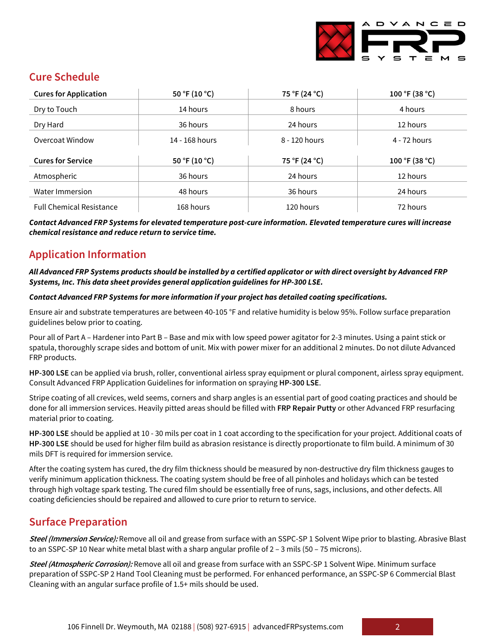

### **Cure Schedule**

| <b>Cures for Application</b>    | 50 °F (10 °C)  | 75 °F (24 °C) | 100 °F (38 °C) |
|---------------------------------|----------------|---------------|----------------|
| Dry to Touch                    | 14 hours       | 8 hours       | 4 hours        |
| Dry Hard                        | 36 hours       | 24 hours      | 12 hours       |
| Overcoat Window                 | 14 - 168 hours | 8 - 120 hours | 4 - 72 hours   |
| <b>Cures for Service</b>        | 50 °F (10 °C)  | 75 °F (24 °C) | 100 °F (38 °C) |
| Atmospheric                     | 36 hours       | 24 hours      | 12 hours       |
| Water Immersion                 | 48 hours       | 36 hours      | 24 hours       |
| <b>Full Chemical Resistance</b> | 168 hours      | 120 hours     | 72 hours       |

*Contact Advanced FRP Systems for elevated temperature post-cure information. Elevated temperature cures will increase chemical resistance and reduce return to service time.*

### **Application Information**

#### *All Advanced FRP Systems products should be installed by a certified applicator or with direct oversight by Advanced FRP Systems, Inc. This data sheet provides general application guidelines for HP-300 LSE.*

#### *Contact Advanced FRP Systems for more information if your project has detailed coating specifications.*

Ensure air and substrate temperatures are between 40-105 °F and relative humidity is below 95%. Follow surface preparation guidelines below prior to coating.

Pour all of Part A – Hardener into Part B – Base and mix with low speed power agitator for 2-3 minutes. Using a paint stick or spatula, thoroughly scrape sides and bottom of unit. Mix with power mixer for an additional 2 minutes. Do not dilute Advanced FRP products.

**HP-300 LSE** can be applied via brush, roller, conventional airless spray equipment or plural component, airless spray equipment. Consult Advanced FRP Application Guidelines for information on spraying **HP-300 LSE**.

Stripe coating of all crevices, weld seems, corners and sharp angles is an essential part of good coating practices and should be done for all immersion services. Heavily pitted areas should be filled with **FRP Repair Putty** or other Advanced FRP resurfacing material prior to coating.

**HP-300 LSE** should be applied at 10 - 30 mils per coat in 1 coat according to the specification for your project. Additional coats of **HP-300 LSE** should be used for higher film build as abrasion resistance is directly proportionate to film build. A minimum of 30 mils DFT is required for immersion service.

After the coating system has cured, the dry film thickness should be measured by non-destructive dry film thickness gauges to verify minimum application thickness. The coating system should be free of all pinholes and holidays which can be tested through high voltage spark testing. The cured film should be essentially free of runs, sags, inclusions, and other defects. All coating deficiencies should be repaired and allowed to cure prior to return to service.

### **Surface Preparation**

**Steel (Immersion Service):** Remove all oil and grease from surface with an SSPC-SP 1 Solvent Wipe prior to blasting. Abrasive Blast to an SSPC-SP 10 Near white metal blast with a sharp angular profile of 2 - 3 mils (50 - 75 microns).

**Steel (Atmospheric Corrosion):** Remove all oil and grease from surface with an SSPC-SP 1 Solvent Wipe. Minimum surface preparation of SSPC-SP 2 Hand Tool Cleaning must be performed. For enhanced performance, an SSPC-SP 6 Commercial Blast Cleaning with an angular surface profile of 1.5+ mils should be used.